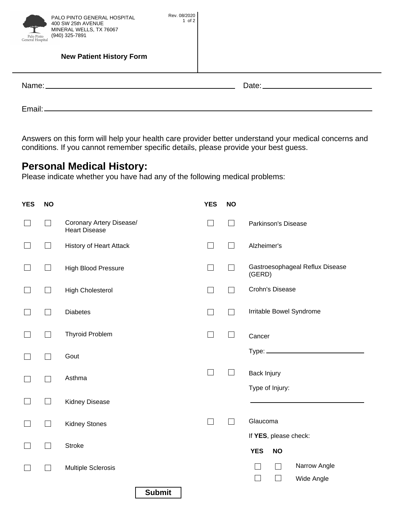| PALO PINTO GENERAL HOSPITAL<br>400 SW 25th AVENUE<br>سرم و رنجانی<br>MINERAL WELLS, TX 76067<br>(940) 325-7891<br>Palo Pinto<br>General Hospital | Rev. 08/2020<br>$1$ of $2$ |  |
|--------------------------------------------------------------------------------------------------------------------------------------------------|----------------------------|--|
| <b>New Patient History Form</b>                                                                                                                  |                            |  |
|                                                                                                                                                  |                            |  |
|                                                                                                                                                  |                            |  |

Answers on this form will help your health care provider weller anderstand your medical concerns and<br>conditions. If you cannot remember specific details, please provide your best quess conditions. If you cannot remember specific details, please provide your best guess.

**Please indicate whether you have half** Please indicate whether you have had any of the following medical problems:

| <b>YES</b> | <b>NO</b>                   |                                                  | <b>YES</b> | <b>NO</b>    |                                                          |
|------------|-----------------------------|--------------------------------------------------|------------|--------------|----------------------------------------------------------|
|            | $\mathcal{L}_{\mathcal{A}}$ | Coronary Artery Disease/<br><b>Heart Disease</b> | $\Box$     | $\Box$       | Parkinson's Disease                                      |
|            | $\Box$                      | <b>History of Heart Attack</b>                   | $\Box$     | $\Box$       | Alzheimer's                                              |
|            | $\mathcal{L}_{\mathcal{A}}$ | High Blood Pressure                              | $\Box$     |              | Gastroesophageal Reflux Disease<br>(GERD)                |
| ×.         | $\mathbb{R}^n$              | <b>High Cholesterol</b>                          | $\Box$     | $\mathsf{L}$ | Crohn's Disease                                          |
|            | $\mathcal{L}_{\mathcal{A}}$ | <b>Diabetes</b>                                  | $\Box$     | ΓI           | Irritable Bowel Syndrome                                 |
|            |                             | <b>Thyroid Problem</b>                           | $\Box$     | $\Box$       | Cancer                                                   |
|            | h.                          | Gout                                             |            |              | $Type:$ $\_\$                                            |
|            |                             | Asthma                                           | $\Box$     | $\Box$       | Back Injury<br>Type of Injury:                           |
|            | $\mathsf{L}$                | Kidney Disease                                   |            |              |                                                          |
|            | $\Box$                      | <b>Kidney Stones</b>                             | $\Box$     | $\Box$       | Glaucoma                                                 |
|            | $\overline{\mathcal{L}}$    | <b>Stroke</b>                                    |            |              | If YES, please check:<br><b>YES</b><br><b>NO</b>         |
|            |                             | <b>Multiple Sclerosis</b>                        |            |              | Narrow Angle<br>$\sim$<br>$\Box$<br>$\Box$<br>Wide Angle |
|            |                             | <b>Submit</b>                                    |            |              |                                                          |